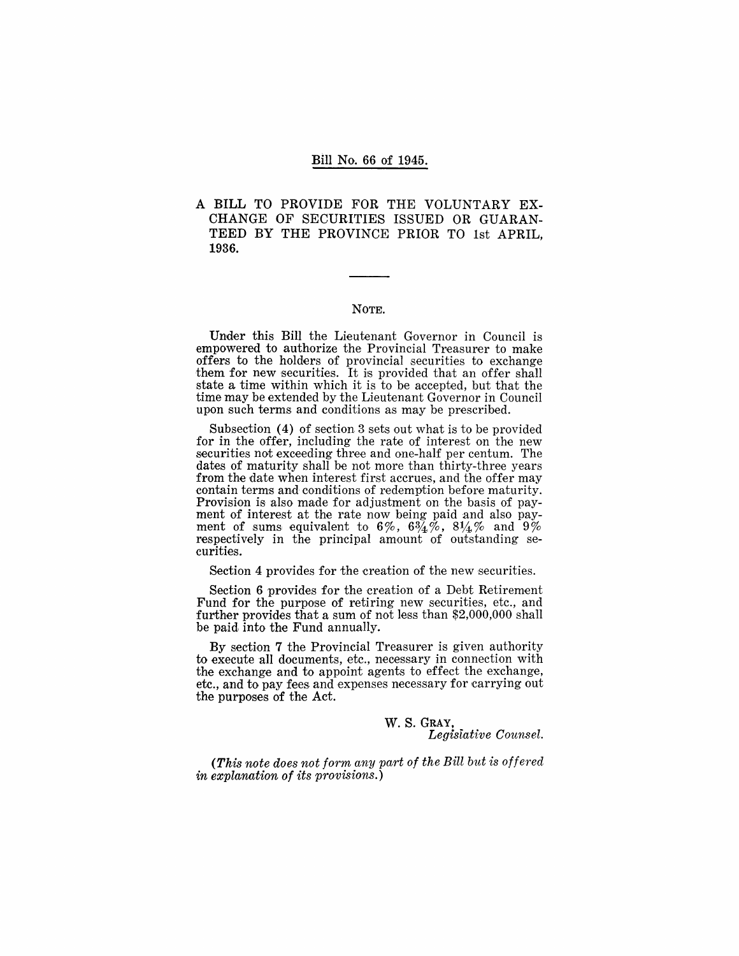#### Bill No. 66 of 1945.

A BILL TO PROVIDE FOR THE VOLUNTARY EX-CHANGE OF SECURITIES ISSUED OR GUARAN-TEED BY THE PROVINCE PRIOR TO 1st APRIL, 1936.

#### NOTE.

Under this Bill the Lieutenant Governor in Council is empowered to authorize the Provincial Treasurer to make offers to the holders of provincial securities to exchange them for new securities. It is provided that an offer shall state a time within which it is to be accepted, but that the time may be extended by the Lieutenant Governor in Council upon such terms and conditions as may be prescribed.

Subsection (4) of section 3 sets out what is to be provided for in the offer, including the rate of interest on the new securities not exceeding three and one-half per centum. The dates of maturity shall be not more than thirty-three years from the date when interest first accrues, and the offer may contain terms and conditions of redemption before maturity. Provision is also made for adjustment on the basis of payment of interest at the rate now being paid and also payment of sums equivalent to  $6\%$ ,  $6\frac{3}{4}\%$ ,  $8\frac{1}{4}\%$  and  $9\%$ respectively in the principal amount of outstanding securities.

Section 4 provides for the creation of the new securities.

Section 6 provides for the creation of a Debt Retirement Fund for the purpose of retiring new securities, etc., and further provides that a sum of not less than \$2,000,000 shall be paid into the Fund annually.

By section 7 the Provincial Treasurer is given authority to execute all documents, etc., necessary in connection with the exchange and to appoint agents to effect the exchange, etc., and to pay fees and expenses necessary for carrying out the purposes of the Act.

> w. S. GRAY, *Legistative Counsel.*

*(This note does not form any part of the Bill but is offered in explanation of its provisions.)*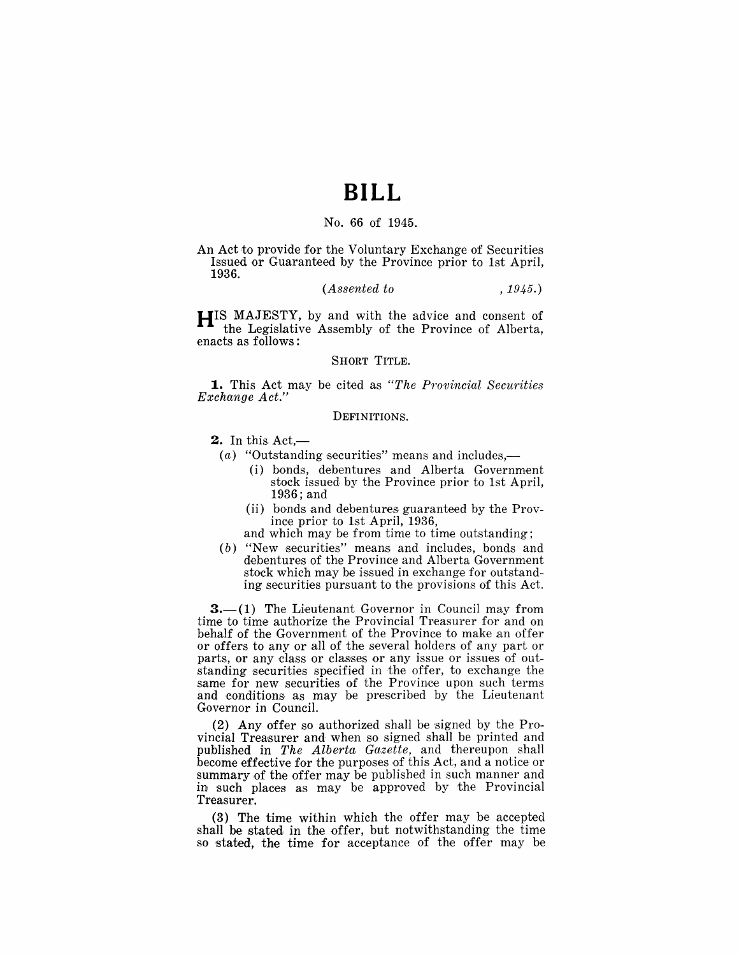## **BILL**

#### No. 66 of 1945.

An Act to provide for the Voluntary Exchange of Securities Issued or Guaranteed by the Province prior to 1st April, 1936.

#### *(Assented to* , 1945.)

**HIS** MAJESTY, by and with the advice and consent of the Legislative Assembly of the Province of Alberta, enacts as follows:

#### SHORT TITLE.

**1.** This Act may be cited as "The Provincial Securities *Exchange Act."* 

#### DEFINITIONS.

 $2.$  In this Act,—

- (a) "Outstanding securities" means and includes,—
	- (i) bonds, debentures and Alberta Government stock issued by the Province prior to 1st April, 1936; and
	- (ii) bonds and debentures guaranteed by the Province prior to 1st April, 1936,
	- and which may be from time to time outstanding:
- (b) "New securities" means and includes, bonds and debentures of the Province and Alberta Government stock which may be issued in exchange for outstanding securities pursuant to the provisions of this Act.

 $3-$ (1) The Lieutenant Governor in Council may from time to time authorize the Provincial Treasurer for and on behalf of the Government of the Province to make an offer or offers to any or all of the several holders of any part or parts, or any class or classes or any issue or issues of outstanding securities specified in the offer, to exchange the same for new securities of the Province upon such terms and conditions, as may be prescribed by the Lieutenant Governor in Council.

(2) Any offer so authorized shall be signed by the Provincial Treasurer and when so signed shall be printed and published in *The Alberta Gazette,* and thereupon shall become effective for the purposes of this Act, and a notice or summary of the offer may be published in such manner and in such places as may be approved by the Provincial Treasurer.

(3) The time within which the offer may be accepted shall be stated in the offer, but notwithstanding the time so stated, the time for acceptance of the offer may be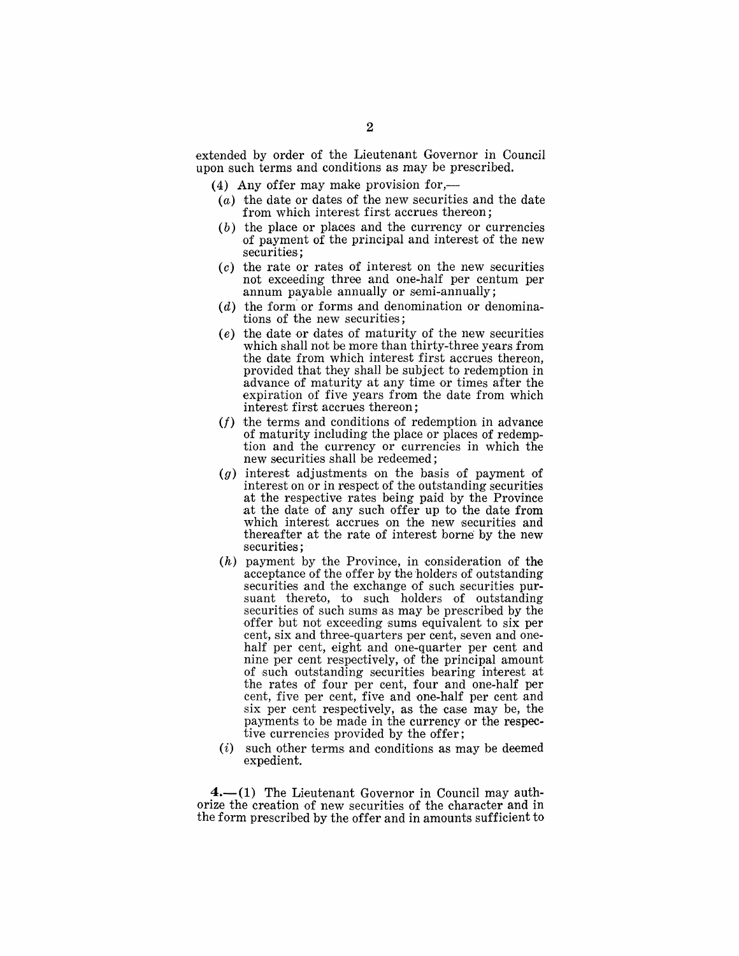extended by order of the Lieutenant Governor in Council upon such terms and conditions as may be prescribed.

(4) Any offer may make provision for,—

- (a) the date or dates of the new securities and the date from which interest first accrues thereon;
- (b) the place or places and the currency or currencies of payment of the principal and interest of the new securities;
- (c) the rate or rates of interest on the new securities not exceeding three and one-half per centum per annum payable annually or semi-annually;
- $(d)$  the form or forms and denomination or denominations of the new securities;
- (e) the date or dates of maturity of the new securities which shall not be more than thirty-three years from the date from which interest first accrues thereon, provided that they shall be subject to redemption in advance of maturity at any time or times after the expiration of five years from the date from which interest first accrues thereon;
- $(f)$  the terms and conditions of redemption in advance of maturity including the place or places of redemption and the currency or currencies in which the new securities shall be redeemed;
- (g) interest adjustments on the basis of payment of interest on or in respect of the outstanding securities at the respective rates being paid by the Province at the date of any such offer up to the date from which interest accrues on the new securities and thereafter at the rate of interest borne by the new securities ;
- $(h)$  payment by the Province, in consideration of the acceptance of the offer by the holders of outstanding securities and the exchange of such securities pursuant thereto, to such holders of outstanding securities of such sums as may be prescribed by the offer but not exceeding sums equivalent to six per cent, six and three-quarters per cent, seven and onehalf per cent, eight and one-quarter per cent and nine per cent respectively, of the principal amount of such outstanding securities bearing interest at the rates of four per cent, four and one-half per cent, five per cent, five and one-half per cent and six per cent respectively, as the case may be, the payments to be made in the currency or the respective currencies provided by the offer;
- (i) such other terms and conditions as may be deemed expedient.

 $4-$ (1) The Lieutenant Governor in Council may authorize the creation of new securities of the character and in the form prescribed by the offer and in amounts sufficient to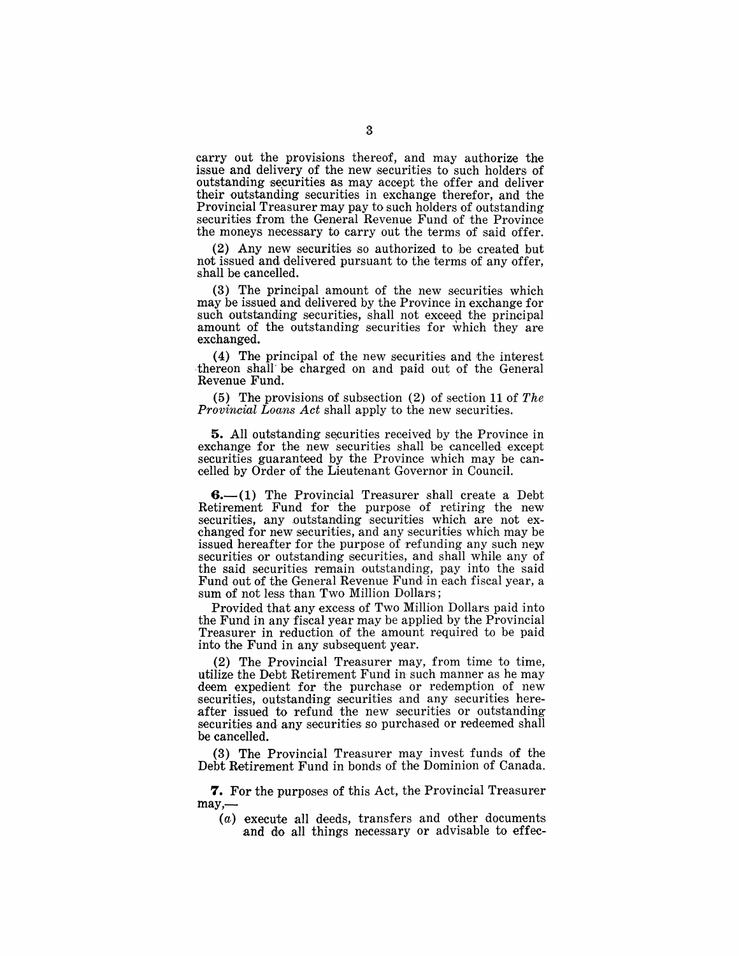carry out the provisions thereof, and may authorize the issue and delivery of the new securities to such holders of outstanding securities as may accept the offer and deliver their outstanding securities in exchange therefor, and the Provincial Treasurer may pay to such holders of outstanding securities from the General Revenue Fund of the Province the moneys necessary to carry out the terms of said offer.

 $(2)$  Any new securities so authorized to be created but not issued and delivered pursuant to the terms of any offer. shall be cancelled.

 $(3)$  The principal amount of the new securities which may he issued and delivered by the Province in exchange for such outstanding securities, shall not exceed the principal amount of the outstanding securities for which they are exchanged.

(4) The principal of the new securities and the interest thereon shall be charged on and paid out of the General Revenue Fund. .

(5) The provisions of subsection (2) of section 11 of *The Provincial Loans Act* shall apply to the new securities.

**5.** All outstanding securities received by the Province in exchange for the new securities shall be cancelled except securities guaranteed by the Province which may be cancelled by Order of the Lieutenant Governor in Council.

 $6-(1)$  The Provincial Treasurer shall create a Debt Retirement Fund for the purpose of retiring the new securities, any outstanding securities which are not exchanged for new securities, and any securities which may be issued hereafter for the purpose of refunding any such new securities or outstanding securities, and shall while any of the said securities remain outstanding, pay into the said Fund out of the General Revenue Fund in each fiscal year, a sum of not less than Two Million Dollars;

Provided that any excess of Two Million Dollars paid into the Fund in any fiscal year may be applied by the Provincial Treasurer in reduction of the amount required to be paid into the Fund in any subsequent year.

(2) The Provincial Treasurer may, from time to time, utilize the Debt Retirement Fund in such manner as he may deem expedient for the purchase or redemption of new securities, outstanding securities and any securities hereafter issued to refund the new securities or outstanding securities and any securities so purchased or redeemed shall be cancelled.

(3) The Provincial Treasurer may invest funds of the Debt Retirement Fund in bonds of the Dominion of Canada.

**7.** For the purposes of this Act, the Provincial Treasurer  $may, -$ 

(a) execute all deeds, transfers and other documents and do all things necessary or advisable to effec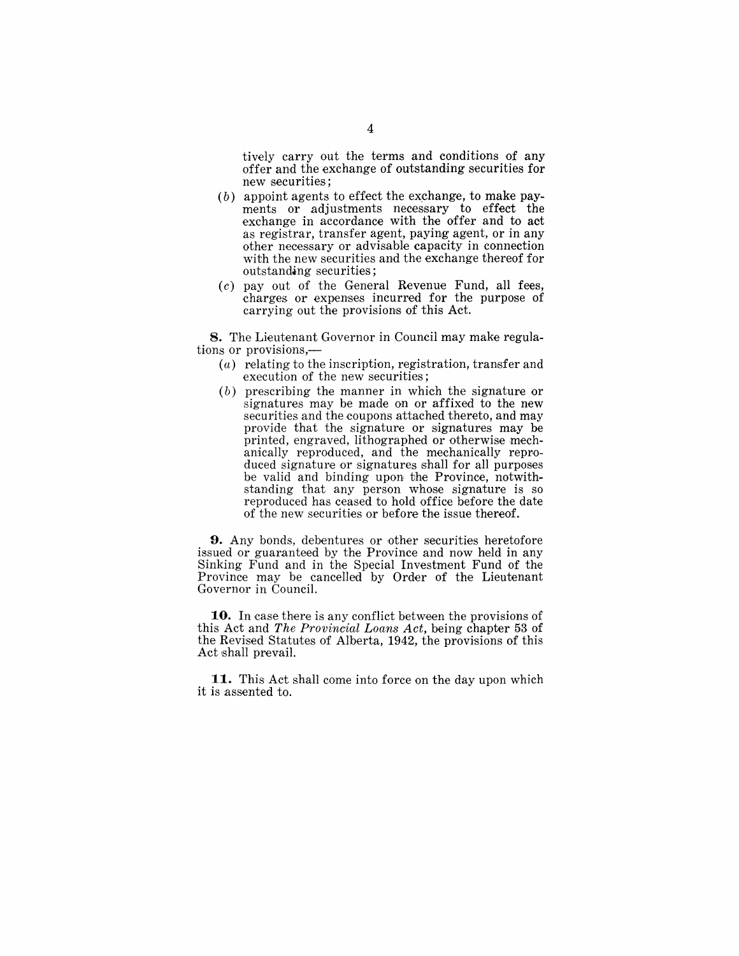tively carry out the terms and conditions of any offer and the exchange of outstanding securities for new securities;

- $(b)$  appoint agents to effect the exchange, to make payments or adjustments necessary to effect the exchange in accordance with the offer and to act as registrar, transfer agent, paying agent, or in any other necessary or advisable capacity in connection with the new securities and the exchange thereof for outstanding securities;
- $(c)$  pay out of the General Revenue Fund, all fees, 'charges or expenses incurred for the purpose of carrying out the provisions of this Act.

8. The Lieutenant Governor in Council may make regulations or provisions,-

- (a) relating to the inscription, registration, transfer and execution of the new securities;
- (b) prescribing the manner in which the signature or signatures may be made on or affixed to the new securities and the coupons attached thereto, and may provide that the signature or signatures may be printed, engraved, lithographed or otherwise mechamically reproduced, and the mechanically reproduced signature or signatures shall for all purposes be valid and binding upon the Province, notwithstanding that any person whose signature is so reproduced has ceased to hold office before the date of the new securities or before the issue thereof.

9. Any bonds, debentures or other securities heretofore issued or guaranteed by the Province and now held in any Sinking Fund and in the Special Investment Fund of the Province may be cancelled by Order of the Lieutenant Governor in Council.

10. In case there is any conflict between the provisions of this Act and *The Provincial Loans Act,* being chapter 53 of the Revised Statutes of Alberta, 1942, the provisions of this Act shall prevail.

**11.** This Act shall come into force on the day upon which it is assented to.